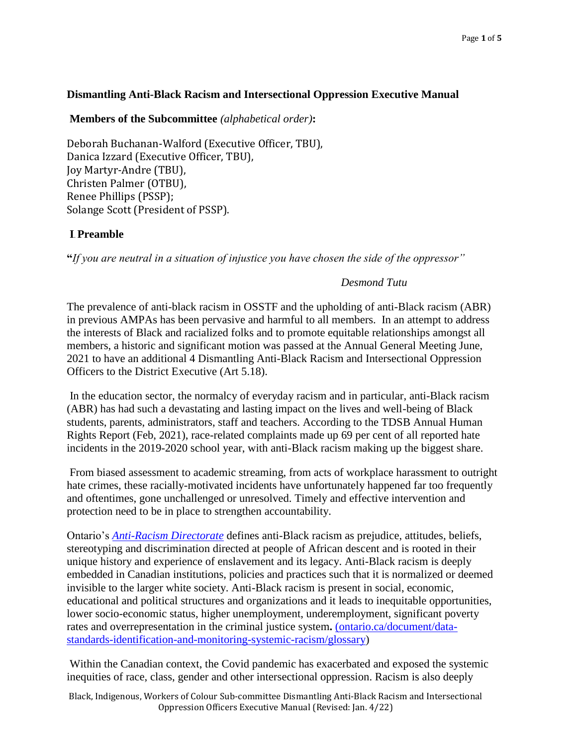### **Dismantling Anti-Black Racism and Intersectional Oppression Executive Manual**

#### **Members of the Subcommittee** *(alphabetical order)***:**

Deborah Buchanan-Walford (Executive Officer, TBU), Danica Izzard (Executive Officer, TBU), Joy Martyr-Andre (TBU), Christen Palmer (OTBU), Renee Phillips (PSSP); Solange Scott (President of PSSP).

### **I**. **Preamble**

**"***If you are neutral in a situation of injustice you have chosen the side of the oppressor"* 

### *Desmond Tutu*

The prevalence of anti-black racism in OSSTF and the upholding of anti-Black racism (ABR) in previous AMPAs has been pervasive and harmful to all members. In an attempt to address the interests of Black and racialized folks and to promote equitable relationships amongst all members, a historic and significant motion was passed at the Annual General Meeting June, 2021 to have an additional 4 Dismantling Anti-Black Racism and Intersectional Oppression Officers to the District Executive (Art 5.18).

In the education sector, the normalcy of everyday racism and in particular, anti-Black racism (ABR) has had such a devastating and lasting impact on the lives and well-being of Black students, parents, administrators, staff and teachers. According to the TDSB Annual Human Rights Report (Feb, 2021), race-related complaints made up 69 per cent of all reported hate incidents in the 2019-2020 school year, with anti-Black racism making up the biggest share.

From biased assessment to academic streaming, from acts of workplace harassment to outright hate crimes, these racially-motivated incidents have unfortunately happened far too frequently and oftentimes, gone unchallenged or unresolved. Timely and effective intervention and protection need to be in place to strengthen accountability.

Ontario'[s](https://www.ontario.ca/page/anti-racism-directorate) *[Anti-Racism Directorate](https://www.ontario.ca/page/anti-racism-directorate)* defines anti-Black racism as prejudice, attitudes, beliefs, stereotyping and discrimination directed at people of African descent and is rooted in their unique history and experience of enslavement and its legacy. Anti-Black racism is deeply embedded in Canadian institutions, policies and practices such that it is normalized or deemed invisible to the larger white society. Anti-Black racism is present in social, economic, educational and political structures and organizations and it leads to inequitable opportunities, lower socio-economic status, higher unemployment, underemployment, significant poverty rates and overrepresentation in the criminal justice system**.** [\(ontario.ca/document/data](https://www.ontario.ca/document/data-standards-identification-and-monitoring-systemic-racism/glossary)[standards-identification-and-monitoring-systemic-racism/glossary\)](https://www.ontario.ca/document/data-standards-identification-and-monitoring-systemic-racism/glossary)

Within the Canadian context, the Covid pandemic has exacerbated and exposed the systemic inequities of race, class, gender and other intersectional oppression. Racism is also deeply

Black, Indigenous, Workers of Colour Sub-committee Dismantling Anti-Black Racism and Intersectional Oppression Officers Executive Manual (Revised: Jan. 4/22)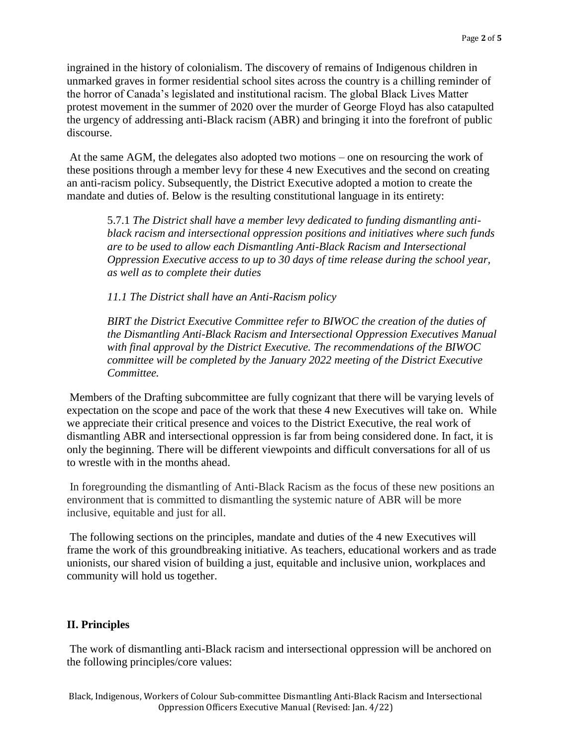ingrained in the history of colonialism. The discovery of remains of Indigenous children in unmarked graves in former residential school sites across the country is a chilling reminder of the horror of Canada's legislated and institutional racism. The global Black Lives Matter protest movement in the summer of 2020 over the murder of George Floyd has also catapulted the urgency of addressing anti-Black racism (ABR) and bringing it into the forefront of public discourse.

At the same AGM, the delegates also adopted two motions – one on resourcing the work of these positions through a member levy for these 4 new Executives and the second on creating an anti-racism policy. Subsequently, the District Executive adopted a motion to create the mandate and duties of. Below is the resulting constitutional language in its entirety:

5.7.1 *The District shall have a member levy dedicated to funding dismantling antiblack racism and intersectional oppression positions and initiatives where such funds are to be used to allow each Dismantling Anti-Black Racism and Intersectional Oppression Executive access to up to 30 days of time release during the school year, as well as to complete their duties* 

*11.1 The District shall have an Anti-Racism policy*

*BIRT the District Executive Committee refer to BIWOC the creation of the duties of the Dismantling Anti-Black Racism and Intersectional Oppression Executives Manual with final approval by the District Executive. The recommendations of the BIWOC committee will be completed by the January 2022 meeting of the District Executive Committee.*

Members of the Drafting subcommittee are fully cognizant that there will be varying levels of expectation on the scope and pace of the work that these 4 new Executives will take on. While we appreciate their critical presence and voices to the District Executive, the real work of dismantling ABR and intersectional oppression is far from being considered done. In fact, it is only the beginning. There will be different viewpoints and difficult conversations for all of us to wrestle with in the months ahead.

In foregrounding the dismantling of Anti-Black Racism as the focus of these new positions an environment that is committed to dismantling the systemic nature of ABR will be more inclusive, equitable and just for all.

The following sections on the principles, mandate and duties of the 4 new Executives will frame the work of this groundbreaking initiative. As teachers, educational workers and as trade unionists, our shared vision of building a just, equitable and inclusive union, workplaces and community will hold us together.

# **II. Principles**

The work of dismantling anti-Black racism and intersectional oppression will be anchored on the following principles/core values: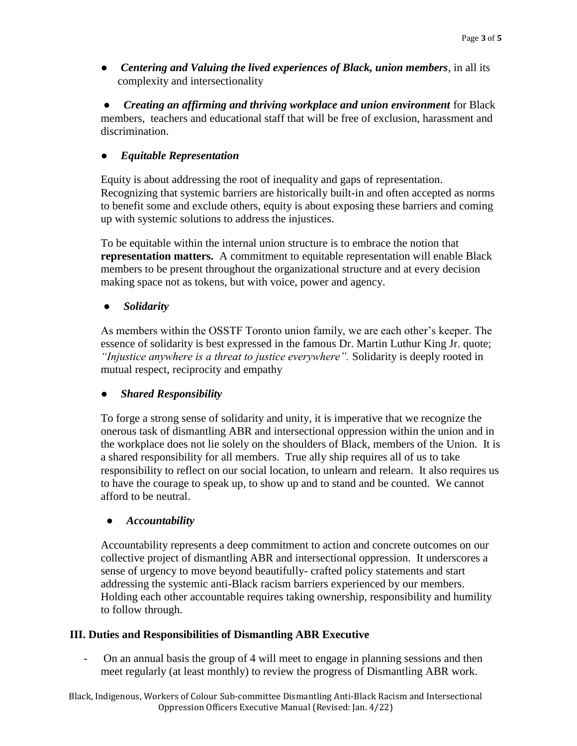● *Centering and Valuing the lived experiences of Black, union members*, in all its complexity and intersectionality

● *Creating an affirming and thriving workplace and union environment* for Black members, teachers and educational staff that will be free of exclusion, harassment and discrimination.

# ● *Equitable Representation*

Equity is about addressing the root of inequality and gaps of representation. Recognizing that systemic barriers are historically built-in and often accepted as norms to benefit some and exclude others, equity is about exposing these barriers and coming up with systemic solutions to address the injustices.

To be equitable within the internal union structure is to embrace the notion that **representation matters.** A commitment to equitable representation will enable Black members to be present throughout the organizational structure and at every decision making space not as tokens, but with voice, power and agency.

### ● *Solidarity*

As members within the OSSTF Toronto union family, we are each other's keeper. The essence of solidarity is best expressed in the famous Dr. Martin Luthur King Jr. quote; *"Injustice anywhere is a threat to justice everywhere".* Solidarity is deeply rooted in mutual respect, reciprocity and empathy

## *Shared Responsibility*

To forge a strong sense of solidarity and unity, it is imperative that we recognize the onerous task of dismantling ABR and intersectional oppression within the union and in the workplace does not lie solely on the shoulders of Black, members of the Union. It is a shared responsibility for all members. True ally ship requires all of us to take responsibility to reflect on our social location, to unlearn and relearn. It also requires us to have the courage to speak up, to show up and to stand and be counted. We cannot afford to be neutral.

#### ● *Accountability*

Accountability represents a deep commitment to action and concrete outcomes on our collective project of dismantling ABR and intersectional oppression. It underscores a sense of urgency to move beyond beautifully- crafted policy statements and start addressing the systemic anti-Black racism barriers experienced by our members. Holding each other accountable requires taking ownership, responsibility and humility to follow through.

## **III. Duties and Responsibilities of Dismantling ABR Executive**

- On an annual basis the group of 4 will meet to engage in planning sessions and then meet regularly (at least monthly) to review the progress of Dismantling ABR work.

Black, Indigenous, Workers of Colour Sub-committee Dismantling Anti-Black Racism and Intersectional Oppression Officers Executive Manual (Revised: Jan. 4/22)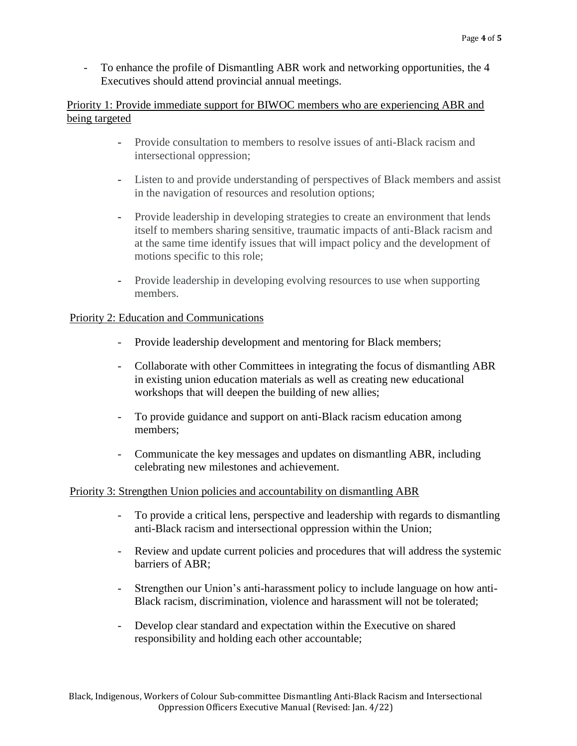To enhance the profile of Dismantling ABR work and networking opportunities, the 4 Executives should attend provincial annual meetings.

# Priority 1: Provide immediate support for BIWOC members who are experiencing ABR and being targeted

- Provide consultation to members to resolve issues of anti-Black racism and intersectional oppression;
- Listen to and provide understanding of perspectives of Black members and assist in the navigation of resources and resolution options;
- Provide leadership in developing strategies to create an environment that lends itself to members sharing sensitive, traumatic impacts of anti-Black racism and at the same time identify issues that will impact policy and the development of motions specific to this role;
- Provide leadership in developing evolving resources to use when supporting members.

# Priority 2: Education and Communications

- Provide leadership development and mentoring for Black members;
- Collaborate with other Committees in integrating the focus of dismantling ABR in existing union education materials as well as creating new educational workshops that will deepen the building of new allies;
- To provide guidance and support on anti-Black racism education among members;
- Communicate the key messages and updates on dismantling ABR, including celebrating new milestones and achievement.

# Priority 3: Strengthen Union policies and accountability on dismantling ABR

- To provide a critical lens, perspective and leadership with regards to dismantling anti-Black racism and intersectional oppression within the Union;
- Review and update current policies and procedures that will address the systemic barriers of ABR;
- Strengthen our Union's anti-harassment policy to include language on how anti-Black racism, discrimination, violence and harassment will not be tolerated;
- Develop clear standard and expectation within the Executive on shared responsibility and holding each other accountable;